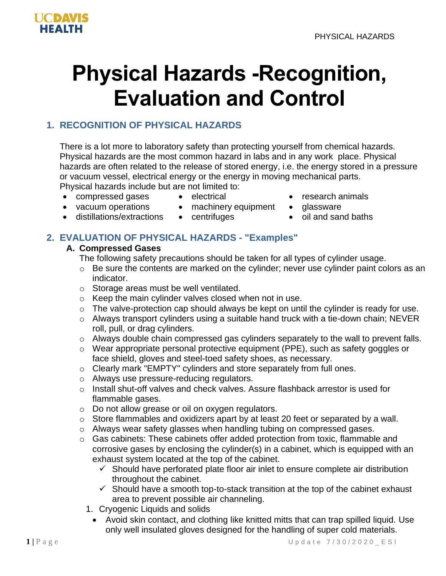

# **Physical Hazards -Recognition, Evaluation and Control**

# **1. RECOGNITION OF PHYSICAL HAZARDS**

There is a lot more to laboratory safety than protecting yourself from chemical hazards. Physical hazards are the most common hazard in labs and in any work place. Physical hazards are often related to the release of stored energy, i.e. the energy stored in a pressure or vacuum vessel, electrical energy or the energy in moving mechanical parts.

Physical hazards include but are not limited to:

- compressed gases electrical research animals
- 
- 
- vacuum operations machinery equipment glassware
	-
- distillations/extractions centrifuges • oil and sand baths
- **2. EVALUATION OF PHYSICAL HAZARDS - "Examples"**

### **A. Compressed Gases**

The following safety precautions should be taken for all types of cylinder usage.

- o Be sure the contents are marked on the cylinder; never use cylinder paint colors as an indicator.
- o Storage areas must be well ventilated.
- o Keep the main cylinder valves closed when not in use.
- o The valve-protection cap should always be kept on until the cylinder is ready for use.
- o Always transport cylinders using a suitable hand truck with a tie-down chain; NEVER roll, pull, or drag cylinders.
- o Always double chain compressed gas cylinders separately to the wall to prevent falls.
- o Wear appropriate personal protective equipment (PPE), such as safety goggles or face shield, gloves and steel-toed safety shoes, as necessary.
- o Clearly mark "EMPTY" cylinders and store separately from full ones.
- o Always use pressure-reducing regulators.
- o Install shut-off valves and check valves. Assure flashback arrestor is used for flammable gases.
- o Do not allow grease or oil on oxygen regulators.
- o Store flammables and oxidizers apart by at least 20 feet or separated by a wall.
- o Always wear safety glasses when handling tubing on compressed gases.
- o Gas cabinets: These cabinets offer added protection from toxic, flammable and corrosive gases by enclosing the cylinder(s) in a cabinet, which is equipped with an exhaust system located at the top of the cabinet.
	- $\checkmark$  Should have perforated plate floor air inlet to ensure complete air distribution throughout the cabinet.
	- $\checkmark$  Should have a smooth top-to-stack transition at the top of the cabinet exhaust area to prevent possible air channeling.
	- 1. Cryogenic Liquids and solids
		- Avoid skin contact, and clothing like knitted mitts that can trap spilled liquid. Use only well insulated gloves designed for the handling of super cold materials.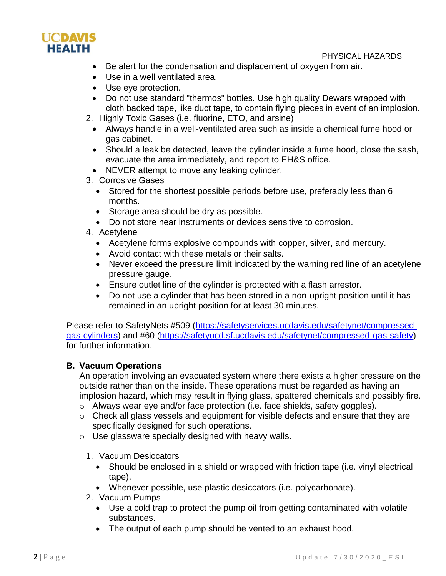

PHYSICAL HAZARDS

- Be alert for the condensation and displacement of oxygen from air.
- Use in a well ventilated area.
- Use eye protection.
- Do not use standard "thermos" bottles. Use high quality Dewars wrapped with cloth backed tape, like duct tape, to contain flying pieces in event of an implosion.
- 2. Highly Toxic Gases (i.e. fluorine, ETO, and arsine)
	- Always handle in a well-ventilated area such as inside a chemical fume hood or gas cabinet.
	- Should a leak be detected, leave the cylinder inside a fume hood, close the sash, evacuate the area immediately, and report to EH&S office.
	- NEVER attempt to move any leaking cylinder.
- 3. Corrosive Gases
	- Stored for the shortest possible periods before use, preferably less than 6 months.
	- Storage area should be dry as possible.
	- Do not store near instruments or devices sensitive to corrosion.
- 4. Acetylene
	- Acetylene forms explosive compounds with copper, silver, and mercury.
	- Avoid contact with these metals or their salts.
	- Never exceed the pressure limit indicated by the warning red line of an acetylene pressure gauge.
	- Ensure outlet line of the cylinder is protected with a flash arrestor.
	- Do not use a cylinder that has been stored in a non-upright position until it has remained in an upright position for at least 30 minutes.

Please refer to SafetyNets #509 [\(https://safetyservices.ucdavis.edu/safetynet/compressed](https://safetyservices.ucdavis.edu/safetynet/compressed-gas-cylinders)[gas-cylinders\)](https://safetyservices.ucdavis.edu/safetynet/compressed-gas-cylinders) and #60 [\(https://safetyucd.sf.ucdavis.edu/safetynet/compressed-gas-safety\)](https://safetyucd.sf.ucdavis.edu/safetynet/compressed-gas-safety) for further information.

#### **B. Vacuum Operations**

An operation involving an evacuated system where there exists a higher pressure on the outside rather than on the inside. These operations must be regarded as having an implosion hazard, which may result in flying glass, spattered chemicals and possibly fire.

- o Always wear eye and/or face protection (i.e. face shields, safety goggles).
- o Check all glass vessels and equipment for visible defects and ensure that they are specifically designed for such operations.
- o Use glassware specially designed with heavy walls.
	- 1. Vacuum Desiccators
		- Should be enclosed in a shield or wrapped with friction tape (i.e. vinyl electrical tape).
		- Whenever possible, use plastic desiccators (i.e. polycarbonate).
	- 2. Vacuum Pumps
		- Use a cold trap to protect the pump oil from getting contaminated with volatile substances.
		- The output of each pump should be vented to an exhaust hood.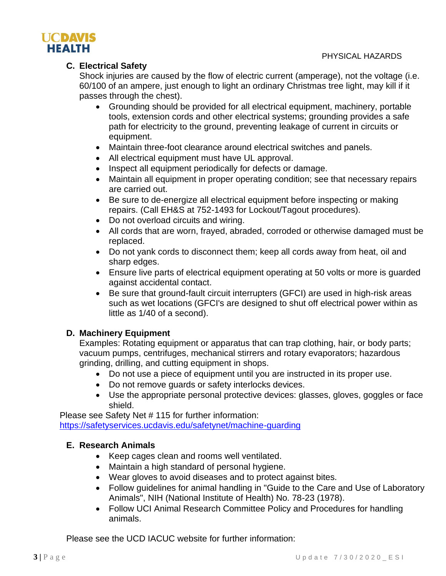

### **C. Electrical Safety**

Shock injuries are caused by the flow of electric current (amperage), not the voltage (i.e. 60/100 of an ampere, just enough to light an ordinary Christmas tree light, may kill if it passes through the chest).

- Grounding should be provided for all electrical equipment, machinery, portable tools, extension cords and other electrical systems; grounding provides a safe path for electricity to the ground, preventing leakage of current in circuits or equipment.
- Maintain three-foot clearance around electrical switches and panels.
- All electrical equipment must have UL approval.
- Inspect all equipment periodically for defects or damage.
- Maintain all equipment in proper operating condition; see that necessary repairs are carried out.
- Be sure to de-energize all electrical equipment before inspecting or making repairs. (Call EH&S at 752-1493 for Lockout/Tagout procedures).
- Do not overload circuits and wiring.
- All cords that are worn, frayed, abraded, corroded or otherwise damaged must be replaced.
- Do not yank cords to disconnect them; keep all cords away from heat, oil and sharp edges.
- Ensure live parts of electrical equipment operating at 50 volts or more is guarded against accidental contact.
- Be sure that ground-fault circuit interrupters (GFCI) are used in high-risk areas such as wet locations (GFCI's are designed to shut off electrical power within as little as 1/40 of a second).

### **D. Machinery Equipment**

Examples: Rotating equipment or apparatus that can trap clothing, hair, or body parts; vacuum pumps, centrifuges, mechanical stirrers and rotary evaporators; hazardous grinding, drilling, and cutting equipment in shops.

- Do not use a piece of equipment until you are instructed in its proper use.
- Do not remove guards or safety interlocks devices.
- Use the appropriate personal protective devices: glasses, gloves, goggles or face shield.

Please see Safety Net # 115 for further information: <https://safetyservices.ucdavis.edu/safetynet/machine-guarding>

# **E. Research Animals**

- Keep cages clean and rooms well ventilated.
- Maintain a high standard of personal hygiene.
- Wear gloves to avoid diseases and to protect against bites.
- Follow guidelines for animal handling in "Guide to the Care and Use of Laboratory Animals", NIH (National Institute of Health) No. 78-23 (1978).
- Follow UCI Animal Research Committee Policy and Procedures for handling animals.

Please see the UCD IACUC website for further information: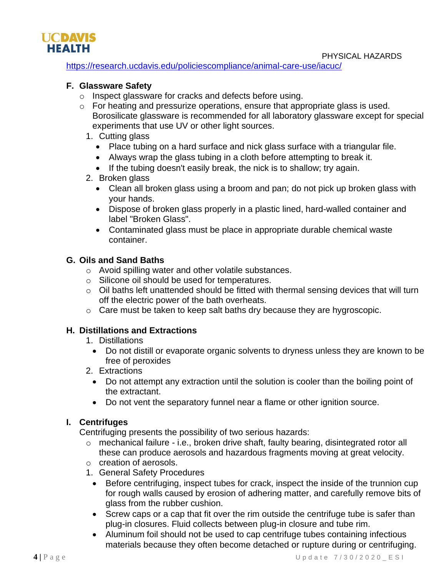



<https://research.ucdavis.edu/policiescompliance/animal-care-use/iacuc/>

# **F. Glassware Safety**

- o Inspect glassware for cracks and defects before using.
- o For heating and pressurize operations, ensure that appropriate glass is used. Borosilicate glassware is recommended for all laboratory glassware except for special experiments that use UV or other light sources.
	- 1. Cutting glass
		- Place tubing on a hard surface and nick glass surface with a triangular file.
		- Always wrap the glass tubing in a cloth before attempting to break it.
		- If the tubing doesn't easily break, the nick is to shallow; try again.

#### 2. Broken glass

- Clean all broken glass using a broom and pan; do not pick up broken glass with your hands.
- Dispose of broken glass properly in a plastic lined, hard-walled container and label "Broken Glass".
- Contaminated glass must be place in appropriate durable chemical waste container.

# **G. Oils and Sand Baths**

- o Avoid spilling water and other volatile substances.
- o Silicone oil should be used for temperatures.
- $\circ$  Oil baths left unattended should be fitted with thermal sensing devices that will turn off the electric power of the bath overheats.
- o Care must be taken to keep salt baths dry because they are hygroscopic.

### **H. Distillations and Extractions**

- 1. Distillations
	- Do not distill or evaporate organic solvents to dryness unless they are known to be free of peroxides
- 2. Extractions
	- Do not attempt any extraction until the solution is cooler than the boiling point of the extractant.
	- Do not vent the separatory funnel near a flame or other ignition source.

### **I. Centrifuges**

Centrifuging presents the possibility of two serious hazards:

- o mechanical failure i.e., broken drive shaft, faulty bearing, disintegrated rotor all these can produce aerosols and hazardous fragments moving at great velocity.
- o creation of aerosols.
- 1. General Safety Procedures
	- Before centrifuging, inspect tubes for crack, inspect the inside of the trunnion cup for rough walls caused by erosion of adhering matter, and carefully remove bits of glass from the rubber cushion.
	- Screw caps or a cap that fit over the rim outside the centrifuge tube is safer than plug-in closures. Fluid collects between plug-in closure and tube rim.
- Aluminum foil should not be used to cap centrifuge tubes containing infectious materials because they often become detached or rupture during or centrifuging.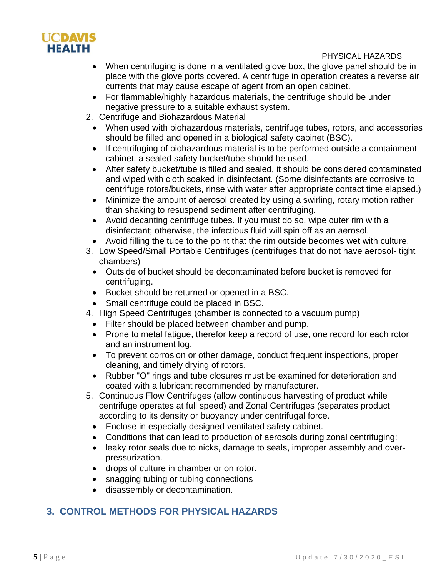

#### PHYSICAL HAZARDS

- When centrifuging is done in a ventilated glove box, the glove panel should be in place with the glove ports covered. A centrifuge in operation creates a reverse air currents that may cause escape of agent from an open cabinet.
- For flammable/highly hazardous materials, the centrifuge should be under negative pressure to a suitable exhaust system.
- 2. Centrifuge and Biohazardous Material
	- When used with biohazardous materials, centrifuge tubes, rotors, and accessories should be filled and opened in a biological safety cabinet (BSC).
	- If centrifuging of biohazardous material is to be performed outside a containment cabinet, a sealed safety bucket/tube should be used.
	- After safety bucket/tube is filled and sealed, it should be considered contaminated and wiped with cloth soaked in disinfectant. (Some disinfectants are corrosive to centrifuge rotors/buckets, rinse with water after appropriate contact time elapsed.)
	- Minimize the amount of aerosol created by using a swirling, rotary motion rather than shaking to resuspend sediment after centrifuging.
	- Avoid decanting centrifuge tubes. If you must do so, wipe outer rim with a disinfectant; otherwise, the infectious fluid will spin off as an aerosol.
	- Avoid filling the tube to the point that the rim outside becomes wet with culture.
- 3. Low Speed/Small Portable Centrifuges (centrifuges that do not have aerosol- tight chambers)
	- Outside of bucket should be decontaminated before bucket is removed for centrifuging.
	- Bucket should be returned or opened in a BSC.
	- Small centrifuge could be placed in BSC.
- 4. High Speed Centrifuges (chamber is connected to a vacuum pump)
	- Filter should be placed between chamber and pump.
	- Prone to metal fatigue, therefor keep a record of use, one record for each rotor and an instrument log.
	- To prevent corrosion or other damage, conduct frequent inspections, proper cleaning, and timely drying of rotors.
	- Rubber "O" rings and tube closures must be examined for deterioration and coated with a lubricant recommended by manufacturer.
- 5. Continuous Flow Centrifuges (allow continuous harvesting of product while centrifuge operates at full speed) and Zonal Centrifuges (separates product according to its density or buoyancy under centrifugal force.
	- Enclose in especially designed ventilated safety cabinet.
	- Conditions that can lead to production of aerosols during zonal centrifuging:
	- leaky rotor seals due to nicks, damage to seals, improper assembly and overpressurization.
	- drops of culture in chamber or on rotor.
	- snagging tubing or tubing connections
	- disassembly or decontamination.

# **3. CONTROL METHODS FOR PHYSICAL HAZARDS**